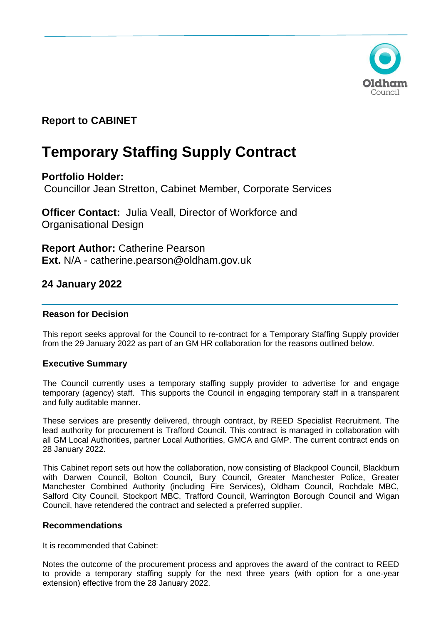

# **Report to CABINET**

# **Temporary Staffing Supply Contract**

# **Portfolio Holder:**

Councillor Jean Stretton, Cabinet Member, Corporate Services

**Officer Contact:** Julia Veall, Director of Workforce and Organisational Design

**Report Author:** Catherine Pearson **Ext.** N/A - catherine.pearson@oldham.gov.uk

# **24 January 2022**

# **Reason for Decision**

This report seeks approval for the Council to re-contract for a Temporary Staffing Supply provider from the 29 January 2022 as part of an GM HR collaboration for the reasons outlined below.

# **Executive Summary**

The Council currently uses a temporary staffing supply provider to advertise for and engage temporary (agency) staff. This supports the Council in engaging temporary staff in a transparent and fully auditable manner.

These services are presently delivered, through contract, by REED Specialist Recruitment. The lead authority for procurement is Trafford Council. This contract is managed in collaboration with all GM Local Authorities, partner Local Authorities, GMCA and GMP. The current contract ends on 28 January 2022.

This Cabinet report sets out how the collaboration, now consisting of Blackpool Council, Blackburn with Darwen Council, Bolton Council, Bury Council, Greater Manchester Police, Greater Manchester Combined Authority (including Fire Services), Oldham Council, Rochdale MBC, Salford City Council, Stockport MBC, Trafford Council, Warrington Borough Council and Wigan Council, have retendered the contract and selected a preferred supplier.

# **Recommendations**

It is recommended that Cabinet:

Notes the outcome of the procurement process and approves the award of the contract to REED to provide a temporary staffing supply for the next three years (with option for a one-year extension) effective from the 28 January 2022.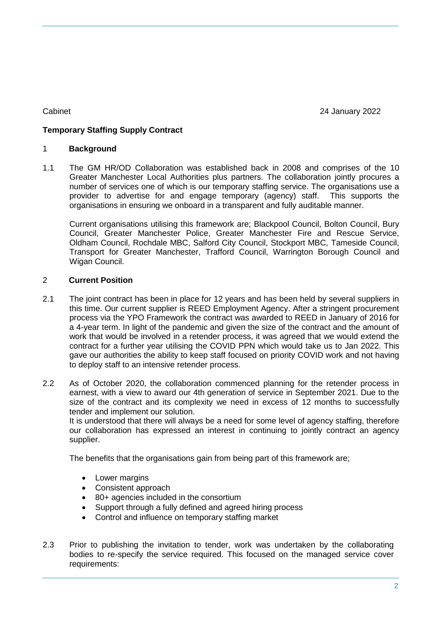Cabinet 24 January 2022

# **Temporary Staffing Supply Contract**

# 1 **Background**

1.1 The GM HR/OD Collaboration was established back in 2008 and comprises of the 10 Greater Manchester Local Authorities plus partners. The collaboration jointly procures a number of services one of which is our temporary staffing service. The organisations use a provider to advertise for and engage temporary (agency) staff. This supports the organisations in ensuring we onboard in a transparent and fully auditable manner.

Current organisations utilising this framework are; Blackpool Council, Bolton Council, Bury Council, Greater Manchester Police, Greater Manchester Fire and Rescue Service, Oldham Council, Rochdale MBC, Salford City Council, Stockport MBC, Tameside Council, Transport for Greater Manchester, Trafford Council, Warrington Borough Council and Wigan Council.

# 2 **Current Position**

- 2.1 The joint contract has been in place for 12 years and has been held by several suppliers in this time. Our current supplier is REED Employment Agency. After a stringent procurement process via the YPO Framework the contract was awarded to REED in January of 2016 for a 4-year term. In light of the pandemic and given the size of the contract and the amount of work that would be involved in a retender process, it was agreed that we would extend the contract for a further year utilising the COVID PPN which would take us to Jan 2022. This gave our authorities the ability to keep staff focused on priority COVID work and not having to deploy staff to an intensive retender process.
- 2.2 As of October 2020, the collaboration commenced planning for the retender process in earnest, with a view to award our 4th generation of service in September 2021. Due to the size of the contract and its complexity we need in excess of 12 months to successfully tender and implement our solution.

It is understood that there will always be a need for some level of agency staffing, therefore our collaboration has expressed an interest in continuing to jointly contract an agency supplier.

The benefits that the organisations gain from being part of this framework are;

- Lower margins
- Consistent approach
- 80+ agencies included in the consortium
- Support through a fully defined and agreed hiring process
- Control and influence on temporary staffing market
- 2.3 Prior to publishing the invitation to tender, work was undertaken by the collaborating bodies to re-specify the service required. This focused on the managed service cover requirements: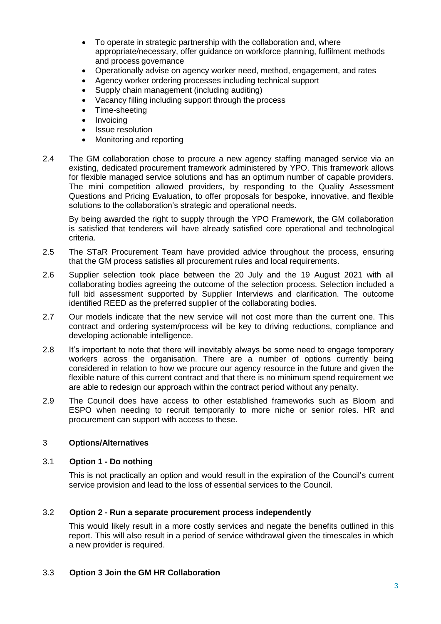- To operate in strategic partnership with the collaboration and, where appropriate/necessary, offer guidance on workforce planning, fulfilment methods and process governance
- Operationally advise on agency worker need, method, engagement, and rates
- Agency worker ordering processes including technical support
- Supply chain management (including auditing)
- Vacancy filling including support through the process
- Time-sheeting
- Invoicing
- Issue resolution
- Monitoring and reporting
- 2.4 The GM collaboration chose to procure a new agency staffing managed service via an existing, dedicated procurement framework administered by YPO. This framework allows for flexible managed service solutions and has an optimum number of capable providers. The mini competition allowed providers, by responding to the Quality Assessment Questions and Pricing Evaluation, to offer proposals for bespoke, innovative, and flexible solutions to the collaboration's strategic and operational needs.

By being awarded the right to supply through the YPO Framework, the GM collaboration is satisfied that tenderers will have already satisfied core operational and technological criteria.

- 2.5 The STaR Procurement Team have provided advice throughout the process, ensuring that the GM process satisfies all procurement rules and local requirements.
- 2.6 Supplier selection took place between the 20 July and the 19 August 2021 with all collaborating bodies agreeing the outcome of the selection process. Selection included a full bid assessment supported by Supplier Interviews and clarification. The outcome identified REED as the preferred supplier of the collaborating bodies.
- 2.7 Our models indicate that the new service will not cost more than the current one. This contract and ordering system/process will be key to driving reductions, compliance and developing actionable intelligence.
- 2.8 It's important to note that there will inevitably always be some need to engage temporary workers across the organisation. There are a number of options currently being considered in relation to how we procure our agency resource in the future and given the flexible nature of this current contract and that there is no minimum spend requirement we are able to redesign our approach within the contract period without any penalty.
- 2.9 The Council does have access to other established frameworks such as Bloom and ESPO when needing to recruit temporarily to more niche or senior roles. HR and procurement can support with access to these.

# 3 **Options/Alternatives**

# 3.1 **Option 1 - Do nothing**

This is not practically an option and would result in the expiration of the Council's current service provision and lead to the loss of essential services to the Council.

# 3.2 **Option 2 - Run a separate procurement process independently**

This would likely result in a more costly services and negate the benefits outlined in this report. This will also result in a period of service withdrawal given the timescales in which a new provider is required.

# 3.3 **Option 3 Join the GM HR Collaboration**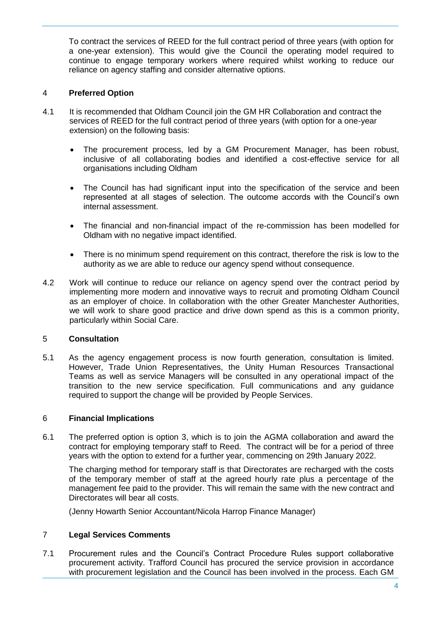To contract the services of REED for the full contract period of three years (with option for a one-year extension). This would give the Council the operating model required to continue to engage temporary workers where required whilst working to reduce our reliance on agency staffing and consider alternative options.

# 4 **Preferred Option**

- 4.1 It is recommended that Oldham Council join the GM HR Collaboration and contract the services of REED for the full contract period of three years (with option for a one-year extension) on the following basis:
	- The procurement process, led by a GM Procurement Manager, has been robust, inclusive of all collaborating bodies and identified a cost-effective service for all organisations including Oldham
	- The Council has had significant input into the specification of the service and been represented at all stages of selection. The outcome accords with the Council's own internal assessment.
	- The financial and non-financial impact of the re-commission has been modelled for Oldham with no negative impact identified.
	- There is no minimum spend requirement on this contract, therefore the risk is low to the authority as we are able to reduce our agency spend without consequence.
- 4.2 Work will continue to reduce our reliance on agency spend over the contract period by implementing more modern and innovative ways to recruit and promoting Oldham Council as an employer of choice. In collaboration with the other Greater Manchester Authorities, we will work to share good practice and drive down spend as this is a common priority, particularly within Social Care.

# 5 **Consultation**

5.1 As the agency engagement process is now fourth generation, consultation is limited. However, Trade Union Representatives, the Unity Human Resources Transactional Teams as well as service Managers will be consulted in any operational impact of the transition to the new service specification. Full communications and any guidance required to support the change will be provided by People Services.

# 6 **Financial Implications**

6.1 The preferred option is option 3, which is to join the AGMA collaboration and award the contract for employing temporary staff to Reed. The contract will be for a period of three years with the option to extend for a further year, commencing on 29th January 2022.

The charging method for temporary staff is that Directorates are recharged with the costs of the temporary member of staff at the agreed hourly rate plus a percentage of the management fee paid to the provider. This will remain the same with the new contract and Directorates will bear all costs.

(Jenny Howarth Senior Accountant/Nicola Harrop Finance Manager)

# 7 **Legal Services Comments**

7.1 Procurement rules and the Council's Contract Procedure Rules support collaborative procurement activity. Trafford Council has procured the service provision in accordance with procurement legislation and the Council has been involved in the process. Each GM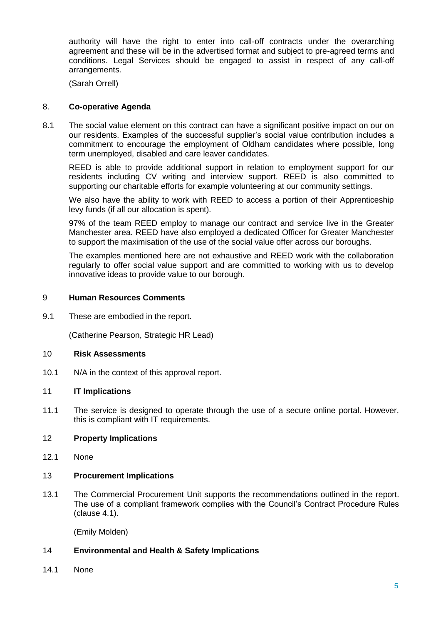authority will have the right to enter into call-off contracts under the overarching agreement and these will be in the advertised format and subject to pre-agreed terms and conditions. Legal Services should be engaged to assist in respect of any call-off arrangements.

(Sarah Orrell)

# 8. **Co-operative Agenda**

8.1 The social value element on this contract can have a significant positive impact on our on our residents. Examples of the successful supplier's social value contribution includes a commitment to encourage the employment of Oldham candidates where possible, long term unemployed, disabled and care leaver candidates.

REED is able to provide additional support in relation to employment support for our residents including CV writing and interview support. REED is also committed to supporting our charitable efforts for example volunteering at our community settings.

We also have the ability to work with REED to access a portion of their Apprenticeship levy funds (if all our allocation is spent).

97% of the team REED employ to manage our contract and service live in the Greater Manchester area. REED have also employed a dedicated Officer for Greater Manchester to support the maximisation of the use of the social value offer across our boroughs.

The examples mentioned here are not exhaustive and REED work with the collaboration regularly to offer social value support and are committed to working with us to develop innovative ideas to provide value to our borough.

# 9 **Human Resources Comments**

9.1 These are embodied in the report.

(Catherine Pearson, Strategic HR Lead)

#### 10 **Risk Assessments**

10.1 N/A in the context of this approval report.

# 11 **IT Implications**

11.1 The service is designed to operate through the use of a secure online portal. However, this is compliant with IT requirements.

# 12 **Property Implications**

12.1 None

#### 13 **Procurement Implications**

13.1 The Commercial Procurement Unit supports the recommendations outlined in the report. The use of a compliant framework complies with the Council's Contract Procedure Rules (clause 4.1).

(Emily Molden)

# 14 **Environmental and Health & Safety Implications**

14.1 None